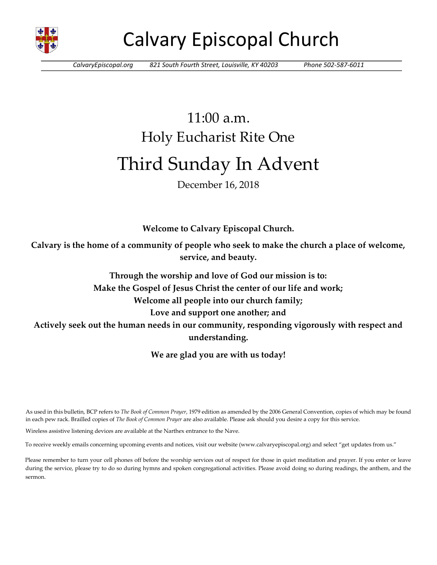

# Calvary Episcopal Church

*CalvaryEpiscopal.org 821 South Fourth Street, Louisville, KY 40203 Phone 502-587-6011*

# 11:00 a.m. Holy Eucharist Rite One Third Sunday In Advent

## December 16, 2018

**Welcome to Calvary Episcopal Church.**

**Calvary is the home of a community of people who seek to make the church a place of welcome, service, and beauty.**

**Through the worship and love of God our mission is to: Make the Gospel of Jesus Christ the center of our life and work; Welcome all people into our church family; Love and support one another; and Actively seek out the human needs in our community, responding vigorously with respect and understanding.**

**We are glad you are with us today!** 

As used in this bulletin, BCP refers to *The Book of Common Prayer*, 1979 edition as amended by the 2006 General Convention, copies of which may be found in each pew rack. Brailled copies of *The Book of Common Prayer* are also available. Please ask should you desire a copy for this service.

Wireless assistive listening devices are available at the Narthex entrance to the Nave.

To receive weekly emails concerning upcoming events and notices, visit our website (www.calvaryepiscopal.org) and select "get updates from us."

Please remember to turn your cell phones off before the worship services out of respect for those in quiet meditation and prayer. If you enter or leave during the service, please try to do so during hymns and spoken congregational activities. Please avoid doing so during readings, the anthem, and the sermon.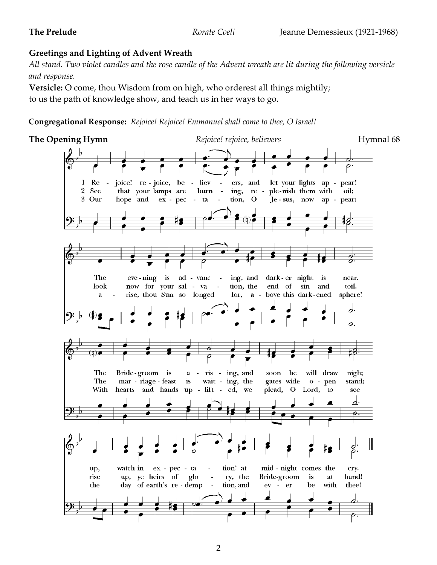## **Greetings and Lighting of Advent Wreath**

*All stand. Two violet candles and the rose candle of the Advent wreath are lit during the following versicle and response.*

**Versicle:** O come, thou Wisdom from on high, who orderest all things mightily; to us the path of knowledge show, and teach us in her ways to go.

**Congregational Response:** *Rejoice! Rejoice! Emmanuel shall come to thee, O Israel!*

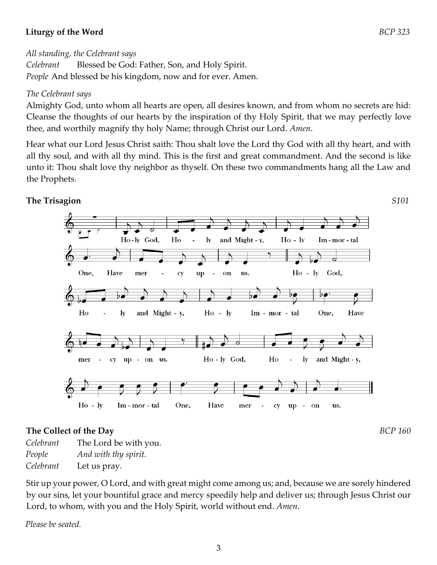## **Liturgy of the Word** *BCP 323*

## *All standing, the Celebrant says*

*Celebrant* Blessed be God: Father, Son, and Holy Spirit. *People* And blessed be his kingdom, now and for ever. Amen.

## *The Celebrant says*

Almighty God, unto whom all hearts are open, all desires known, and from whom no secrets are hid: Cleanse the thoughts of our hearts by the inspiration of thy Holy Spirit, that we may perfectly love thee, and worthily magnify thy holy Name; through Christ our Lord. *Amen*.

Hear what our Lord Jesus Christ saith: Thou shalt love the Lord thy God with all thy heart, and with all thy soul, and with all thy mind. This is the first and great commandment. And the second is like unto it: Thou shalt love thy neighbor as thyself. On these two commandments hang all the Law and the Prophets.



## **The Collect of the Day** *BCP 160*

*Celebrant* The Lord be with you. *People And with thy spirit. Celebrant* Let us pray.

Stir up your power, O Lord, and with great might come among us; and, because we are sorely hindered by our sins, let your bountiful grace and mercy speedily help and deliver us; through Jesus Christ our Lord, to whom, with you and the Holy Spirit, world without end. *Amen*.

*Please be seated.*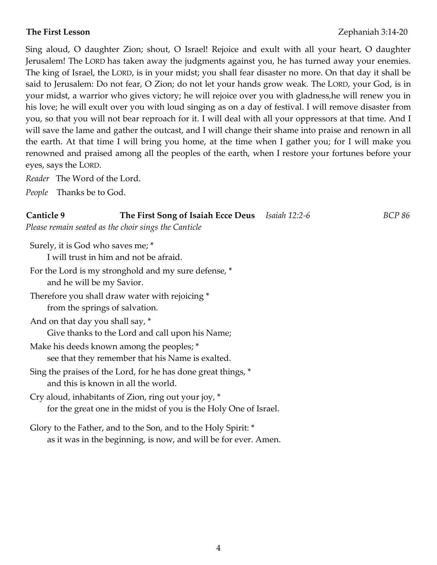Sing aloud, O daughter Zion; shout, O Israel! Rejoice and exult with all your heart, O daughter Jerusalem! The LORD has taken away the judgments against you, he has turned away your enemies. The king of Israel, the LORD, is in your midst; you shall fear disaster no more. On that day it shall be said to Jerusalem: Do not fear, O Zion; do not let your hands grow weak. The LORD, your God, is in your midst, a warrior who gives victory; he will rejoice over you with gladness,he will renew you in his love; he will exult over you with loud singing as on a day of festival. I will remove disaster from you, so that you will not bear reproach for it. I will deal with all your oppressors at that time. And I will save the lame and gather the outcast, and I will change their shame into praise and renown in all the earth. At that time I will bring you home, at the time when I gather you; for I will make you renowned and praised among all the peoples of the earth, when I restore your fortunes before your eyes, says the LORD.

*Reader* The Word of the Lord.

*People* Thanks be to God.

## **Canticle 9 The First Song of Isaiah Ecce Deus** *Isaiah 12:2-6 BCP 86*

*Please remain seated as the choir sings the Canticle*

Surely, it is God who saves me; \* I will trust in him and not be afraid.

- For the Lord is my stronghold and my sure defense, \* and he will be my Savior.
- Therefore you shall draw water with rejoicing \* from the springs of salvation.
- And on that day you shall say, \* Give thanks to the Lord and call upon his Name;
- Make his deeds known among the peoples; \* see that they remember that his Name is exalted.
- Sing the praises of the Lord, for he has done great things, \* and this is known in all the world.

Cry aloud, inhabitants of Zion, ring out your joy, \* for the great one in the midst of you is the Holy One of Israel.

Glory to the Father, and to the Son, and to the Holy Spirit: \* as it was in the beginning, is now, and will be for ever. Amen.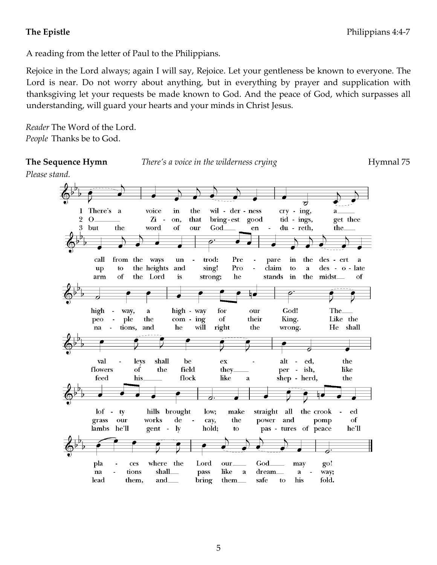## **The Epistle** Philippians 4:4-7

A reading from the letter of Paul to the Philippians.

Rejoice in the Lord always; again I will say, Rejoice. Let your gentleness be known to everyone. The Lord is near. Do not worry about anything, but in everything by prayer and supplication with thanksgiving let your requests be made known to God. And the peace of God, which surpasses all understanding, will guard your hearts and your minds in Christ Jesus.

*Reader* The Word of the Lord. *People* Thanks be to God.

**The Sequence Hymn** *There's a voice in the wilderness crying Hymnal 75* 

*Please stand.* 

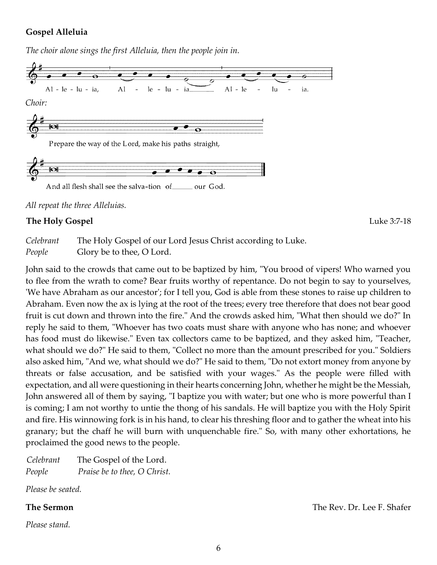## **Gospel Alleluia**

*The choir alone sings the first Alleluia, then the people join in.* 



And all flesh shall see the salva-tion of \_ our God.

*All repeat the three Alleluias.*

## **The Holy Gospel** Luke 3:7-18

*Celebrant* The Holy Gospel of our Lord Jesus Christ according to Luke. *People* Glory be to thee, O Lord.

John said to the crowds that came out to be baptized by him, "You brood of vipers! Who warned you to flee from the wrath to come? Bear fruits worthy of repentance. Do not begin to say to yourselves, 'We have Abraham as our ancestor'; for I tell you, God is able from these stones to raise up children to Abraham. Even now the ax is lying at the root of the trees; every tree therefore that does not bear good fruit is cut down and thrown into the fire." And the crowds asked him, "What then should we do?" In reply he said to them, "Whoever has two coats must share with anyone who has none; and whoever has food must do likewise." Even tax collectors came to be baptized, and they asked him, "Teacher, what should we do?" He said to them, "Collect no more than the amount prescribed for you." Soldiers also asked him, "And we, what should we do?" He said to them, "Do not extort money from anyone by threats or false accusation, and be satisfied with your wages." As the people were filled with expectation, and all were questioning in their hearts concerning John, whether he might be the Messiah, John answered all of them by saying, "I baptize you with water; but one who is more powerful than I is coming; I am not worthy to untie the thong of his sandals. He will baptize you with the Holy Spirit and fire. His winnowing fork is in his hand, to clear his threshing floor and to gather the wheat into his granary; but the chaff he will burn with unquenchable fire." So, with many other exhortations, he proclaimed the good news to the people.

*Celebrant* The Gospel of the Lord. *People Praise be to thee, O Christ.*

*Please be seated.* 

*Please stand.*

**The Sermon** The Rev. Dr. Lee F. Shafer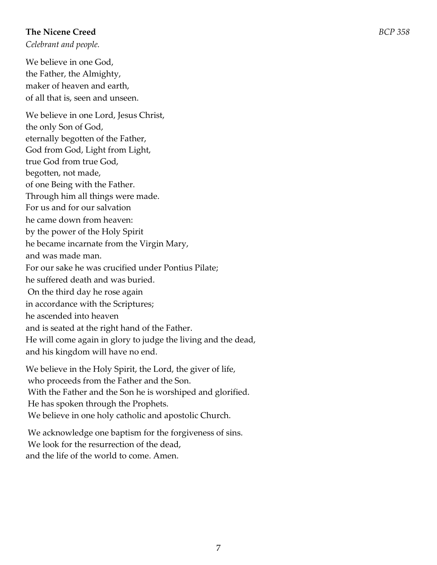## **The Nicene Creed** *BCP 358*

*Celebrant and people.* 

We believe in one God, the Father, the Almighty, maker of heaven and earth, of all that is, seen and unseen.

We believe in one Lord, Jesus Christ,

the only Son of God,

eternally begotten of the Father,

God from God, Light from Light,

true God from true God,

begotten, not made,

of one Being with the Father.

Through him all things were made.

For us and for our salvation

he came down from heaven:

by the power of the Holy Spirit

he became incarnate from the Virgin Mary,

and was made man.

For our sake he was crucified under Pontius Pilate;

he suffered death and was buried.

On the third day he rose again

in accordance with the Scriptures;

he ascended into heaven

and is seated at the right hand of the Father.

He will come again in glory to judge the living and the dead,

and his kingdom will have no end.

We believe in the Holy Spirit, the Lord, the giver of life, who proceeds from the Father and the Son. With the Father and the Son he is worshiped and glorified. He has spoken through the Prophets. We believe in one holy catholic and apostolic Church.

We acknowledge one baptism for the forgiveness of sins. We look for the resurrection of the dead, and the life of the world to come. Amen.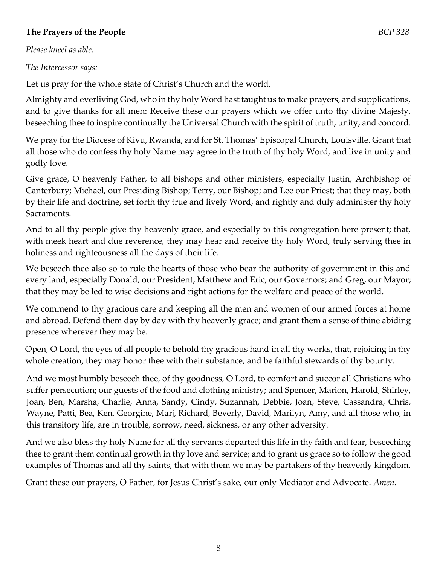## **The Prayers of the People** *BCP 328*

*Please kneel as able.* 

*The Intercessor says:* 

Let us pray for the whole state of Christ's Church and the world.

Almighty and everliving God, who in thy holy Word hast taught us to make prayers, and supplications, and to give thanks for all men: Receive these our prayers which we offer unto thy divine Majesty, beseeching thee to inspire continually the Universal Church with the spirit of truth, unity, and concord.

We pray for the Diocese of Kivu, Rwanda, and for St. Thomas' Episcopal Church, Louisville. Grant that all those who do confess thy holy Name may agree in the truth of thy holy Word, and live in unity and godly love.

Give grace, O heavenly Father, to all bishops and other ministers, especially Justin, Archbishop of Canterbury; Michael, our Presiding Bishop; Terry, our Bishop; and Lee our Priest; that they may, both by their life and doctrine, set forth thy true and lively Word, and rightly and duly administer thy holy Sacraments.

And to all thy people give thy heavenly grace, and especially to this congregation here present; that, with meek heart and due reverence, they may hear and receive thy holy Word, truly serving thee in holiness and righteousness all the days of their life.

We beseech thee also so to rule the hearts of those who bear the authority of government in this and every land, especially Donald, our President; Matthew and Eric, our Governors; and Greg, our Mayor; that they may be led to wise decisions and right actions for the welfare and peace of the world.

We commend to thy gracious care and keeping all the men and women of our armed forces at home and abroad. Defend them day by day with thy heavenly grace; and grant them a sense of thine abiding presence wherever they may be.

Open, O Lord, the eyes of all people to behold thy gracious hand in all thy works, that, rejoicing in thy whole creation, they may honor thee with their substance, and be faithful stewards of thy bounty.

And we most humbly beseech thee, of thy goodness, O Lord, to comfort and succor all Christians who suffer persecution; our guests of the food and clothing ministry; and Spencer, Marion, Harold, Shirley, Joan, Ben, Marsha, Charlie, Anna, Sandy, Cindy, Suzannah, Debbie, Joan, Steve, Cassandra, Chris, Wayne, Patti, Bea, Ken, Georgine, Marj, Richard, Beverly, David, Marilyn, Amy, and all those who, in this transitory life, are in trouble, sorrow, need, sickness, or any other adversity.

And we also bless thy holy Name for all thy servants departed this life in thy faith and fear, beseeching thee to grant them continual growth in thy love and service; and to grant us grace so to follow the good examples of Thomas and all thy saints, that with them we may be partakers of thy heavenly kingdom.

Grant these our prayers, O Father, for Jesus Christ's sake, our only Mediator and Advocate. *Amen.*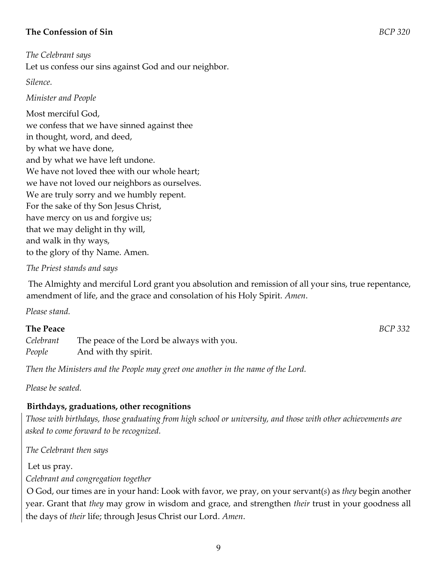## **The Confession of Sin** *BCP 320*

*The Celebrant says*  Let us confess our sins against God and our neighbor.

*Silence.* 

## *Minister and People*

Most merciful God, we confess that we have sinned against thee in thought, word, and deed, by what we have done, and by what we have left undone. We have not loved thee with our whole heart; we have not loved our neighbors as ourselves. We are truly sorry and we humbly repent. For the sake of thy Son Jesus Christ, have mercy on us and forgive us; that we may delight in thy will, and walk in thy ways, to the glory of thy Name. Amen.

## *The Priest stands and says*

The Almighty and merciful Lord grant you absolution and remission of all your sins, true repentance, amendment of life, and the grace and consolation of his Holy Spirit. *Amen*.

*Please stand.*

## **The Peace** *BCP 332*

*Celebrant* The peace of the Lord be always with you. *People* And with thy spirit.

*Then the Ministers and the People may greet one another in the name of the Lord.*

*Please be seated.*

## **Birthdays, graduations, other recognitions**

*Those with birthdays, those graduating from high school or university, and those with other achievements are asked to come forward to be recognized.* 

*The Celebrant then says*

Let us pray. *Celebrant and congregation together* 

O God, our times are in your hand: Look with favor, we pray, on your servant(*s*) as *they* begin another year. Grant that *they* may grow in wisdom and grace, and strengthen *their* trust in your goodness all the days of *their* life; through Jesus Christ our Lord. *Amen*.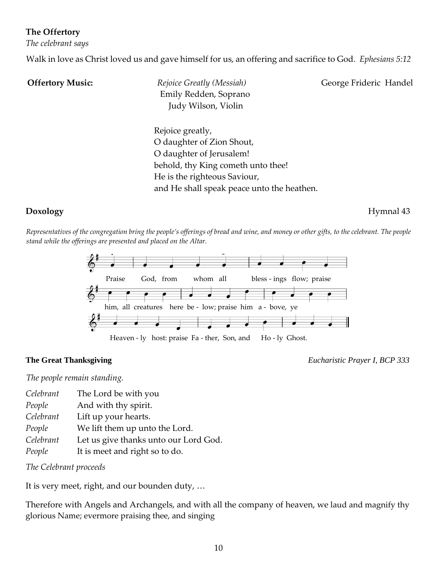## **The Offertory**

*The celebrant says* 

Walk in love as Christ loved us and gave himself for us, an offering and sacrifice to God. *Ephesians 5:12*

**Offertory Music:** Rejoice Greatly *(Messiah)* George Frideric Handel Emily Redden, Soprano Judy Wilson, Violin

Rejoice greatly, O daughter of Zion Shout, O daughter of Jerusalem! behold, thy King cometh unto thee! He is the righteous Saviour, and He shall speak peace unto the heathen.

**Doxology** Hymnal 43

*Representatives of the congregation bring the people's offerings of bread and wine, and money or other gifts, to the celebrant. The people stand while the offerings are presented and placed on the Altar.*



**The Great Thanksgiving** *Eucharistic Prayer I, BCP 333*

*The people remain standing.*

- *Celebrant* The Lord be with you
- *People* And with thy spirit.
- *Celebrant* Lift up your hearts.
- *People* We lift them up unto the Lord.
- *Celebrant* Let us give thanks unto our Lord God.
- *People* It is meet and right so to do.

*The Celebrant proceeds*

It is very meet, right, and our bounden duty, …

Therefore with Angels and Archangels, and with all the company of heaven, we laud and magnify thy glorious Name; evermore praising thee, and singing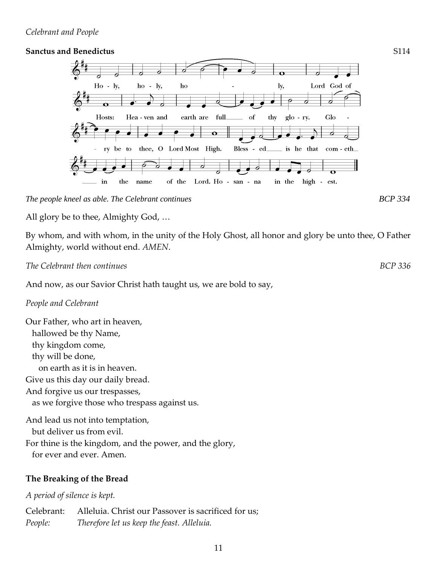## *Celebrant and People*

## **Sanctus and Benedictus** S114



*The people kneel as able. The Celebrant continues BCP 334*

All glory be to thee, Almighty God, …

By whom, and with whom, in the unity of the Holy Ghost, all honor and glory be unto thee, O Father Almighty, world without end. *AMEN*.

*The Celebrant then continues BCP 336*

And now, as our Savior Christ hath taught us, we are bold to say,

## *People and Celebrant*

Our Father, who art in heaven, hallowed be thy Name, thy kingdom come, thy will be done, on earth as it is in heaven. Give us this day our daily bread. And forgive us our trespasses, as we forgive those who trespass against us. And lead us not into temptation, but deliver us from evil. For thine is the kingdom, and the power, and the glory,

for ever and ever. Amen.

## **The Breaking of the Bread**

*A period of silence is kept.*

Celebrant: Alleluia. Christ our Passover is sacrificed for us; *People: Therefore let us keep the feast. Alleluia.*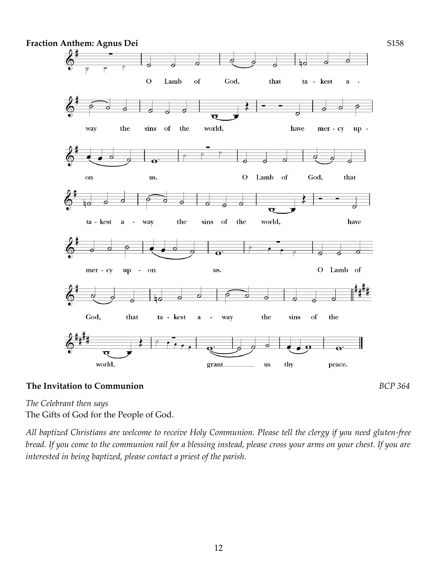

## **The Invitation to Communion** *BCP 364*

*The Celebrant then says*  The Gifts of God for the People of God.

*All baptized Christians are welcome to receive Holy Communion. Please tell the clergy if you need gluten-free bread. If you come to the communion rail for a blessing instead, please cross your arms on your chest. If you are interested in being baptized, please contact a priest of the parish.*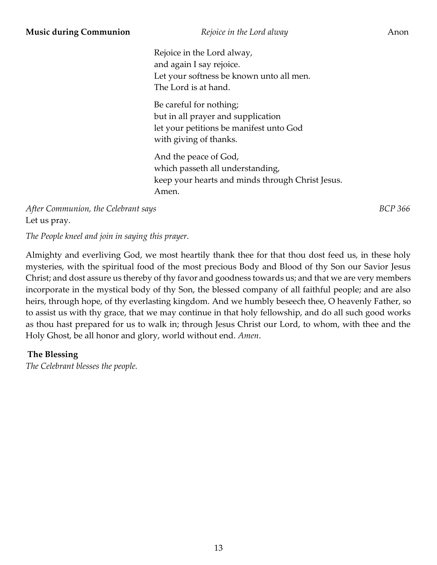Rejoice in the Lord alway, and again I say rejoice. Let your softness be known unto all men. The Lord is at hand.

Be careful for nothing; but in all prayer and supplication let your petitions be manifest unto God with giving of thanks.

And the peace of God, which passeth all understanding, keep your hearts and minds through Christ Jesus. Amen.

*After Communion, the Celebrant says BCP 366* Let us pray.

*The People kneel and join in saying this prayer.*

Almighty and everliving God, we most heartily thank thee for that thou dost feed us, in these holy mysteries, with the spiritual food of the most precious Body and Blood of thy Son our Savior Jesus Christ; and dost assure us thereby of thy favor and goodness towards us; and that we are very members incorporate in the mystical body of thy Son, the blessed company of all faithful people; and are also heirs, through hope, of thy everlasting kingdom. And we humbly beseech thee, O heavenly Father, so to assist us with thy grace, that we may continue in that holy fellowship, and do all such good works as thou hast prepared for us to walk in; through Jesus Christ our Lord, to whom, with thee and the Holy Ghost, be all honor and glory, world without end. *Amen*.

## **The Blessing**

*The Celebrant blesses the people.*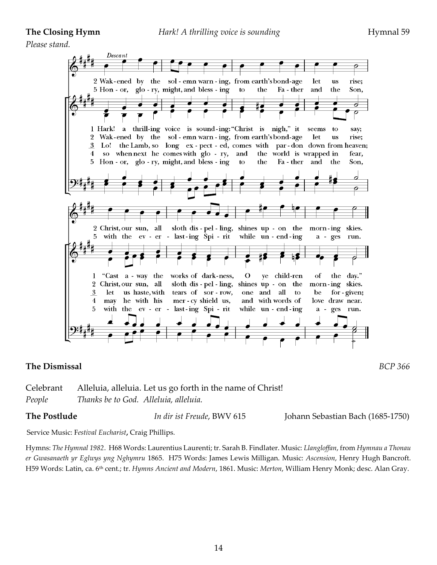*Please stand.*



## **The Dismissal** *BCP 366*

Celebrant Alleluia, alleluia. Let us go forth in the name of Christ! *People Thanks be to God. Alleluia, alleluia.*

**The Postlude** *In dir ist Freude*, BWV 615 Johann Sebastian Bach (1685-1750)

Service Music: F*estival Eucharist***,** Craig Phillips.

Hymns: *The Hymnal 1982*. H68 Words: Laurentius Laurenti; tr. Sarah B. Findlater. Music: *Llangloffan*, from *Hymnau a Thonau er Gwasanaeth yr Eglwys yng Nghymru* 1865. H75 Words: James Lewis Milligan. Music: *Ascension*, Henry Hugh Bancroft. H59 Words: Latin, ca. 6th cent.; tr. *Hymns Ancient and Modern*, 1861. Music: *Merton*, William Henry Monk; desc. Alan Gray.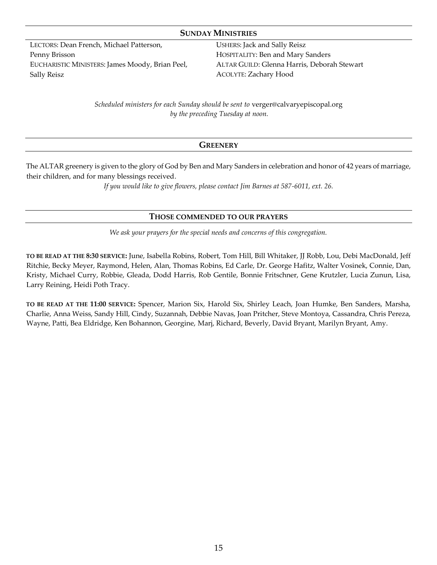## **SUNDAY MINISTRIES**

LECTORS: Dean French, Michael Patterson, Penny Brisson EUCHARISTIC MINISTERS: James Moody, Brian Peel, Sally Reisz

USHERS: Jack and Sally Reisz HOSPITALITY: Ben and Mary Sanders ALTAR GUILD: Glenna Harris, Deborah Stewart ACOLYTE: Zachary Hood

*Scheduled ministers for each Sunday should be sent to* [verger@calvaryepiscopal.org](mailto:verger@calvaryepiscopal.org) *by the preceding Tuesday at noon.*

## **GREENERY**

The ALTAR greenery is given to the glory of God by Ben and Mary Sanders in celebration and honor of 42 years of marriage, their children, and for many blessings received.

*If you would like to give flowers, please contact Jim Barnes at 587-6011, ext. 26.*

## **THOSE COMMENDED TO OUR PRAYERS**

*We ask your prayers for the special needs and concerns of this congregation.*

**TO BE READ AT THE 8:30 SERVICE:** June, Isabella Robins, Robert, Tom Hill, Bill Whitaker, JJ Robb, Lou, Debi MacDonald, Jeff Ritchie, Becky Meyer, Raymond, Helen, Alan, Thomas Robins, Ed Carle, Dr. George Hafitz, Walter Vosinek, Connie, Dan, Kristy, Michael Curry, Robbie, Gleada, Dodd Harris, Rob Gentile, Bonnie Fritschner, Gene Krutzler, Lucia Zunun, Lisa, Larry Reining, Heidi Poth Tracy.

**TO BE READ AT THE 11:00 SERVICE:** Spencer, Marion Six, Harold Six, Shirley Leach, Joan Humke, Ben Sanders, Marsha, Charlie, Anna Weiss, Sandy Hill, Cindy, Suzannah, Debbie Navas, Joan Pritcher, Steve Montoya, Cassandra, Chris Pereza, Wayne, Patti, Bea Eldridge, Ken Bohannon, Georgine, Marj, Richard, Beverly, David Bryant, Marilyn Bryant, Amy.